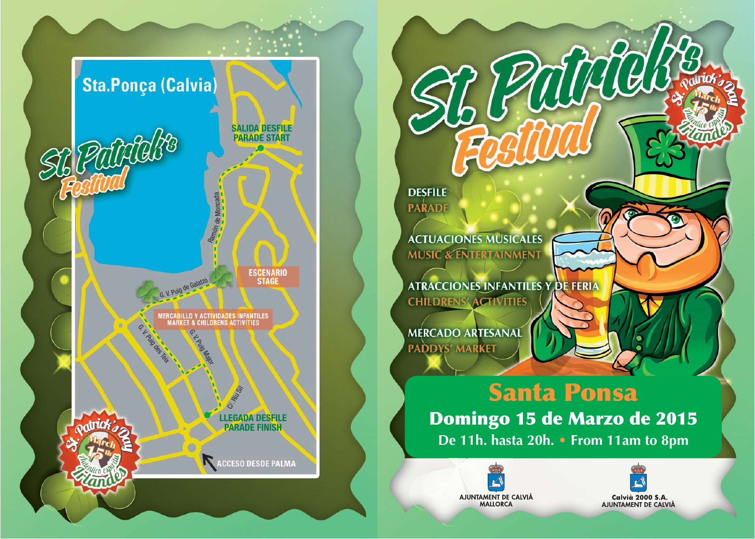

**DESFILE PARADE** 

**ACTUACIONES MUSICALES MUSIC & ENTERTAINMENT** 

**ATRACCIONES INFANTILES Y DE FERIA CHILDRENS' ACTIVITIES** 

MERCADO ARTESANAL PADDYS' MARKET

# **Santa Ponsa Domingo 15 de Marzo de 2015** De 11h. hasta 20h. • From 11am to 8pm

WALE